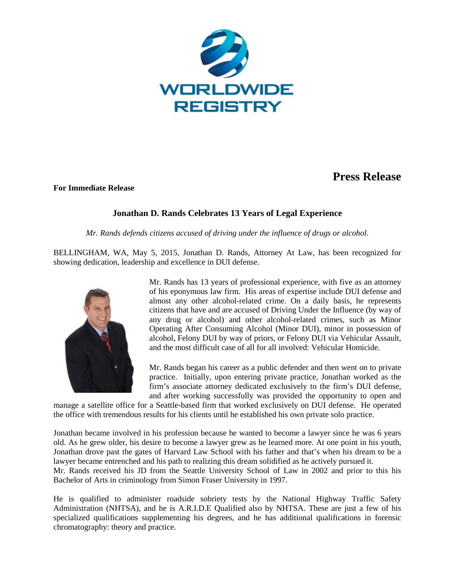

## **Press Release**

## **For Immediate Release**

## **Jonathan D. Rands Celebrates 13 Years of Legal Experience**

*Mr. Rands defends citizens accused of driving under the influence of drugs or alcohol.*

BELLINGHAM, WA, May 5, 2015, Jonathan D. Rands, Attorney At Law, has been recognized for showing dedication, leadership and excellence in DUI defense.



Mr. Rands has 13 years of professional experience, with five as an attorney of his eponymous law firm. His areas of expertise include DUI defense and almost any other alcohol-related crime. On a daily basis, he represents citizens that have and are accused of Driving Under the Influence (by way of any drug or alcohol) and other alcohol-related crimes, such as Minor Operating After Consuming Alcohol (Minor DUI), minor in possession of alcohol, Felony DUI by way of priors, or Felony DUI via Vehicular Assault, and the most difficult case of all for all involved: Vehicular Homicide.

Mr. Rands began his career as a public defender and then went on to private practice. Initially, upon entering private practice, Jonathan worked as the firm's associate attorney dedicated exclusively to the firm's DUI defense, and after working successfully was provided the opportunity to open and

manage a satellite office for a Seattle-based firm that worked exclusively on DUI defense. He operated the office with tremendous results for his clients until he established his own private solo practice.

Jonathan became involved in his profession because he wanted to become a lawyer since he was 6 years old. As he grew older, his desire to become a lawyer grew as he learned more. At one point in his youth, Jonathan drove past the gates of Harvard Law School with his father and that's when his dream to be a lawyer became entrenched and his path to realizing this dream solidified as he actively pursued it.

Mr. Rands received his JD from the Seattle University School of Law in 2002 and prior to this his Bachelor of Arts in criminology from Simon Fraser University in 1997.

He is qualified to administer roadside sobriety tests by the National Highway Traffic Safety Administration (NHTSA), and he is A.R.I.D.E Qualified also by NHTSA. These are just a few of his specialized qualifications supplementing his degrees, and he has additional qualifications in forensic chromatography: theory and practice.